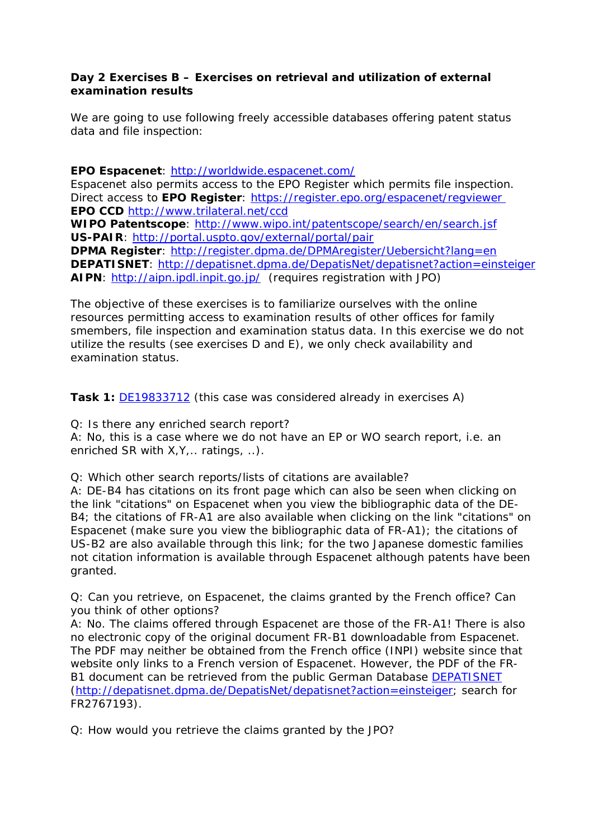## **Day 2 Exercises B – Exercises on retrieval and utilization of external examination results**

We are going to use following freely accessible databases offering patent status data and file inspection:

#### **EPO Espacenet**:<http://worldwide.espacenet.com/>

Espacenet also permits access to the EPO Register which permits file inspection. Direct access to **EPO Register**: <https://register.epo.org/espacenet/regviewer> **EPO CCD** <http://www.trilateral.net/ccd>

**WIPO Patentscope**:<http://www.wipo.int/patentscope/search/en/search.jsf> **US-PAIR**: <http://portal.uspto.gov/external/portal/pair>

**DPMA Register**:<http://register.dpma.de/DPMAregister/Uebersicht?lang=en> **DEPATISNET**: <http://depatisnet.dpma.de/DepatisNet/depatisnet?action=einsteiger> **AIPN**: <http://aipn.ipdl.inpit.go.jp/>(requires registration with JPO)

The objective of these exercises is to familiarize ourselves with the online resources permitting access to examination results of other offices for family smembers, file inspection and examination status data. In this exercise we do not utilize the results (see exercises D and E), we only check availability and examination status.

**Task 1:** [DE19833712](http://worldwide.espacenet.com/publicationDetails/biblio?DB=EPODOC&II=0&adjacent=true&locale=en_EP&FT=D&date=19990128&CC=DE&NR=19833712A1&KC=A1) (this case was considered already in exercises A)

Q: Is there any enriched search report?

A: No, this is a case where we do not have an EP or WO search report, i.e. an enriched SR with X, Y, .. ratings, ..).

Q: Which other search reports/lists of citations are available?

A: DE-B4 has citations on its front page which can also be seen when clicking on the link "citations" on Espacenet when you view the bibliographic data of the DE-B4; the citations of FR-A1 are also available when clicking on the link "citations" on Espacenet (make sure you view the bibliographic data of FR-A1); the citations of US-B2 are also available through this link; for the two Japanese domestic families not citation information is available through Espacenet although patents have been granted.

Q: Can you retrieve, on Espacenet, the claims granted by the French office? Can you think of other options?

A: No. The claims offered through Espacenet are those of the FR-A1! There is also no electronic copy of the original document FR-B1 downloadable from Espacenet. The PDF may neither be obtained from the French office (INPI) website since that website only links to a French version of Espacenet. However, the PDF of the FR-B1 document can be retrieved from the public German Database **DEPATISNET** (<http://depatisnet.dpma.de/DepatisNet/depatisnet?action=einsteiger>; search for FR2767193).

Q: How would you retrieve the claims granted by the JPO?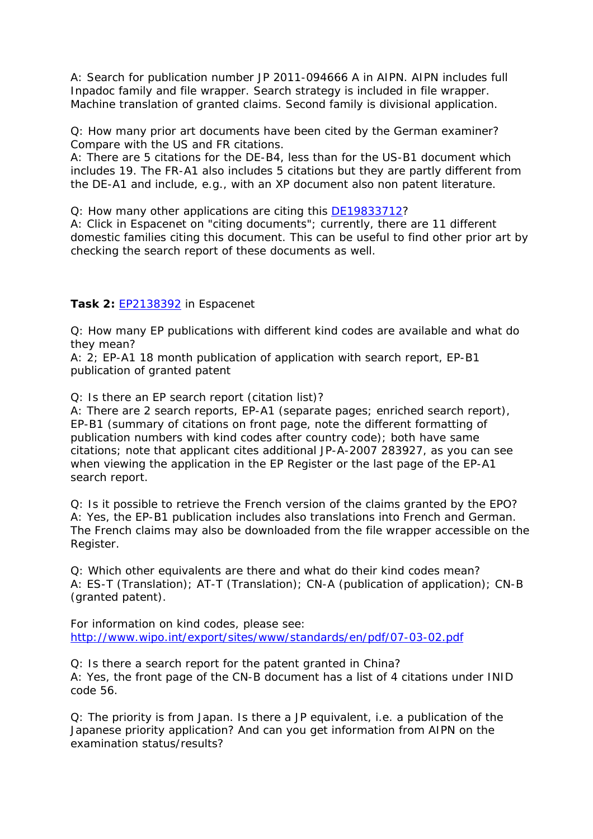A: Search for publication number JP 2011-094666 A in AIPN. AIPN includes full Inpadoc family and file wrapper. Search strategy is included in file wrapper. Machine translation of granted claims. Second family is divisional application.

Q: How many prior art documents have been cited by the German examiner? Compare with the US and FR citations.

A: There are 5 citations for the DE-B4, less than for the US-B1 document which includes 19. The FR-A1 also includes 5 citations but they are partly different from the DE-A1 and include, e.g., with an XP document also non patent literature.

Q: How many other applications are citing this [DE19833712?](http://worldwide.espacenet.com/publicationDetails/biblio?DB=EPODOC&II=0&adjacent=true&locale=en_EP&FT=D&date=19990128&CC=DE&NR=19833712A1&KC=A1)

A: Click in Espacenet on "citing documents"; currently, there are 11 different domestic families citing this document. This can be useful to find other prior art by checking the search report of these documents as well.

# **Task 2:** [EP2138392](http://worldwide.espacenet.com/searchResults?DB=EPODOC&ST=number&bcId=1&return=true&NUM=EP2138392&locale=en_EP&compact=false&page=0) in Espacenet

Q: How many EP publications with different kind codes are available and what do they mean?

A: 2; EP-A1 18 month publication of application with search report, EP-B1 publication of granted patent

Q: Is there an EP search report (citation list)?

A: There are 2 search reports, EP-A1 (separate pages; enriched search report), EP-B1 (summary of citations on front page, note the different formatting of publication numbers with kind codes after country code); both have same citations; note that applicant cites additional JP-A-2007 283927, as you can see when viewing the application in the EP Register or the last page of the EP-A1 search report.

Q: Is it possible to retrieve the French version of the claims granted by the EPO? A: Yes, the EP-B1 publication includes also translations into French and German. The French claims may also be downloaded from the file wrapper accessible on the Register.

Q: Which other equivalents are there and what do their kind codes mean? A: ES-T (Translation); AT-T (Translation); CN-A (publication of application); CN-B (granted patent).

For information on kind codes, please see: <http://www.wipo.int/export/sites/www/standards/en/pdf/07-03-02.pdf>

Q: Is there a search report for the patent granted in China? A: Yes, the front page of the CN-B document has a list of 4 citations under INID code 56.

Q: The priority is from Japan. Is there a JP equivalent, i.e. a publication of the Japanese priority application? And can you get information from AIPN on the examination status/results?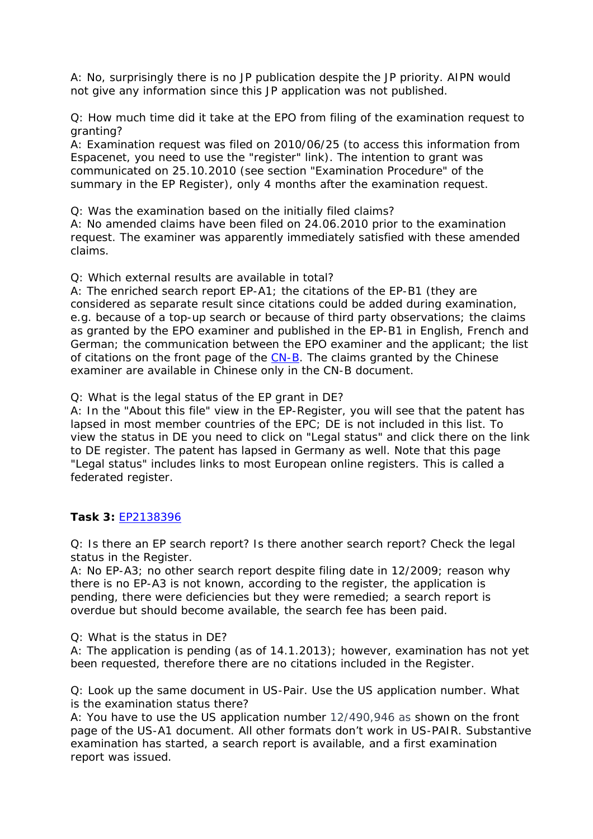A: No, surprisingly there is no JP publication despite the JP priority. AIPN would not give any information since this JP application was not published.

Q: How much time did it take at the EPO from filing of the examination request to granting?

A: Examination request was filed on 2010/06/25 (to access this information from Espacenet, you need to use the "register" link). The intention to grant was communicated on 25.10.2010 (see section "Examination Procedure" of the summary in the EP Register), only 4 months after the examination request.

Q: Was the examination based on the initially filed claims?

A: No amended claims have been filed on 24.06.2010 prior to the examination request. The examiner was apparently immediately satisfied with these amended claims.

Q: Which external results are available in total?

A: The enriched search report EP-A1; the citations of the EP-B1 (they are considered as separate result since citations could be added during examination, e.g. because of a top-up search or because of third party observations; the claims as granted by the EPO examiner and published in the EP-B1 in English, French and German; the communication between the EPO examiner and the applicant; the list of citations on the front page of the [CN-B.](http://worldwide.espacenet.com/publicationDetails/originalDocument?FT=D&date=20120905&DB=EPODOC&locale=en_EP&CC=CN&NR=101612972B&KC=B&ND=5) The claims granted by the Chinese examiner are available in Chinese only in the CN-B document.

Q: What is the legal status of the EP grant in DE?

A: In the "About this file" view in the EP-Register, you will see that the patent has lapsed in most member countries of the EPC; DE is not included in this list. To view the status in DE you need to click on "Legal status" and click there on the link to DE register. The patent has lapsed in Germany as well. Note that this page "Legal status" includes links to most European online registers. This is called a federated register.

# **Task 3:** [EP2138396](http://worldwide.espacenet.com/publicationDetails/biblio?DB=worldwide.espacenet.com&II=0&ND=3&adjacent=true&locale=en_EP&FT=D&date=20091230&CC=EP&NR=2138396A2&KC=A2)

Q: Is there an EP search report? Is there another search report? Check the legal status in the Register.

A: No EP-A3; no other search report despite filing date in 12/2009; reason why there is no EP-A3 is not known, according to the register, the application is pending, there were deficiencies but they were remedied; a search report is overdue but should become available, the search fee has been paid.

Q: What is the status in DE?

A: The application is pending (as of 14.1.2013); however, examination has not yet been requested, therefore there are no citations included in the Register.

Q: Look up the same document in US-Pair. Use the US application number. What is the examination status there?

A: You have to use the US application number 12/490,946 as shown on the front page of the US-A1 document. All other formats don't work in US-PAIR. Substantive examination has started, a search report is available, and a first examination report was issued.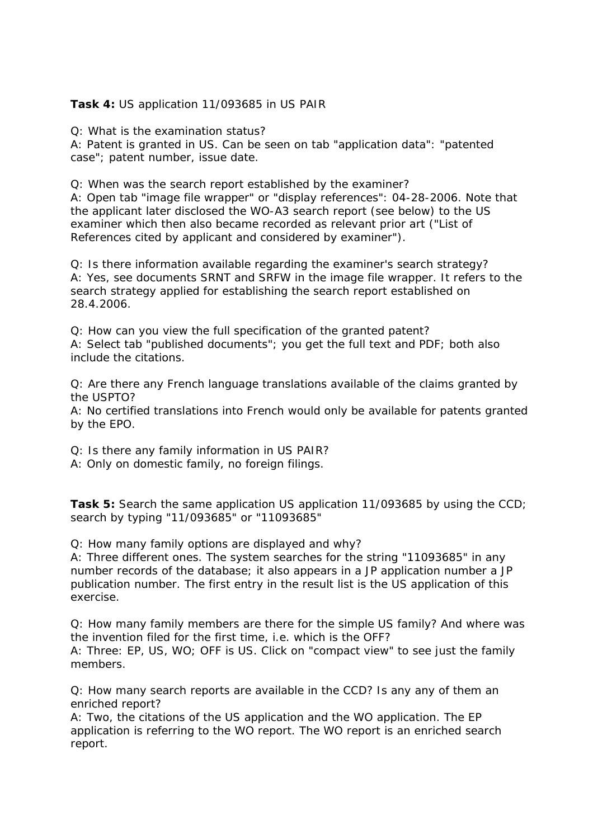#### **Task 4:** US application 11/093685 in US PAIR

Q: What is the examination status?

A: Patent is granted in US. Can be seen on tab "application data": "patented case"; patent number, issue date.

Q: When was the search report established by the examiner?

A: Open tab "image file wrapper" or "display references": 04-28-2006. Note that the applicant later disclosed the WO-A3 search report (see below) to the US examiner which then also became recorded as relevant prior art ("List of References cited by applicant and considered by examiner").

Q: Is there information available regarding the examiner's search strategy? A: Yes, see documents SRNT and SRFW in the image file wrapper. It refers to the search strategy applied for establishing the search report established on 28.4.2006.

Q: How can you view the full specification of the granted patent? A: Select tab "published documents"; you get the full text and PDF; both also include the citations.

Q: Are there any French language translations available of the claims granted by the USPTO?

A: No certified translations into French would only be available for patents granted by the EPO.

Q: Is there any family information in US PAIR?

A: Only on domestic family, no foreign filings.

**Task 5:** Search the same application US application 11/093685 by using the CCD; search by typing "11/093685" or "11093685"

Q: How many family options are displayed and why?

A: Three different ones. The system searches for the string "11093685" in any number records of the database; it also appears in a JP application number a JP publication number. The first entry in the result list is the US application of this exercise.

Q: How many family members are there for the simple US family? And where was the invention filed for the first time, i.e. which is the OFF? A: Three: EP, US, WO; OFF is US. Click on "compact view" to see just the family members.

Q: How many search reports are available in the CCD? Is any any of them an enriched report?

A: Two, the citations of the US application and the WO application. The EP application is referring to the WO report. The WO report is an enriched search report.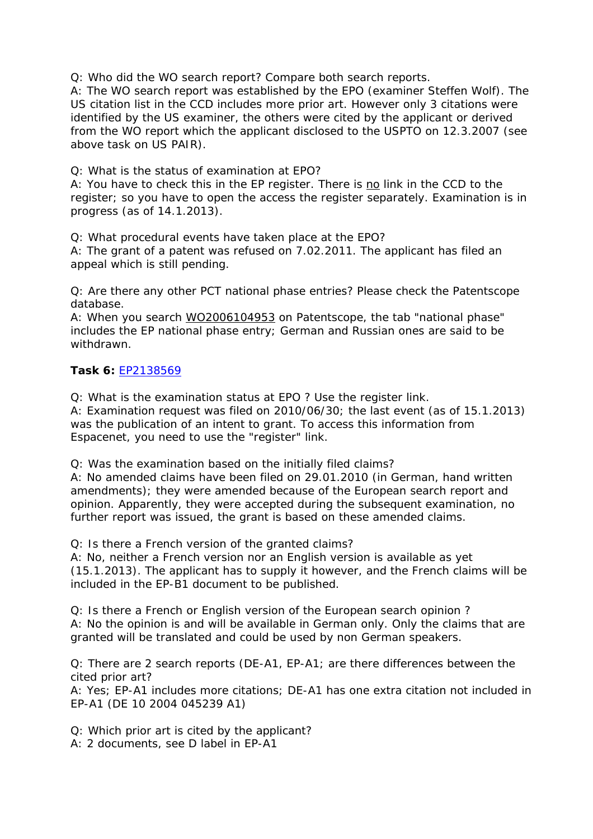Q: Who did the WO search report? Compare both search reports.

A: The WO search report was established by the EPO (examiner Steffen Wolf). The US citation list in the CCD includes more prior art. However only 3 citations were identified by the US examiner, the others were cited by the applicant or derived from the WO report which the applicant disclosed to the USPTO on 12.3.2007 (see above task on US PAIR).

Q: What is the status of examination at EPO?

A: You have to check this in the EP register. There is  $\underline{no}$  link in the CCD to the register; so you have to open the access the register separately. Examination is in progress (as of 14.1.2013).

Q: What procedural events have taken place at the EPO?

A: The grant of a patent was refused on 7.02.2011. The applicant has filed an appeal which is still pending.

Q: Are there any other PCT national phase entries? Please check the Patentscope database.

A: When you search [WO2006104953](http://patentscope.wipo.int/search/en/detail.jsf?docId=WO2006104953&recNum=1&docAn=US2006010973&queryString=FP:%28WO2006104953%29&maxRec=1) on Patentscope, the tab "national phase" includes the EP national phase entry; German and Russian ones are said to be withdrawn.

### **Task 6:** [EP2138569](http://worldwide.espacenet.com/searchResults?DB=EPODOC&ST=number&bcId=1&return=true&NUM=EP2138569&locale=en_EP&compact=false&page=0)

Q: What is the examination status at EPO ? Use the register link.

A: Examination request was filed on 2010/06/30; the last event (as of 15.1.2013) was the publication of an intent to grant. To access this information from Espacenet, you need to use the "register" link.

Q: Was the examination based on the initially filed claims?

A: No amended claims have been filed on 29.01.2010 (in German, hand written amendments); they were amended because of the European search report and opinion. Apparently, they were accepted during the subsequent examination, no further report was issued, the grant is based on these amended claims.

Q: Is there a French version of the granted claims?

A: No, neither a French version nor an English version is available as yet (15.1.2013). The applicant has to supply it however, and the French claims will be included in the EP-B1 document to be published.

Q: Is there a French or English version of the European search opinion ? A: No the opinion is and will be available in German only. Only the claims that are granted will be translated and could be used by non German speakers.

Q: There are 2 search reports (DE-A1, EP-A1; are there differences between the cited prior art?

A: Yes; EP-A1 includes more citations; DE-A1 has one extra citation not included in EP-A1 (DE 10 2004 045239 A1)

Q: Which prior art is cited by the applicant? A: 2 documents, see D label in EP-A1